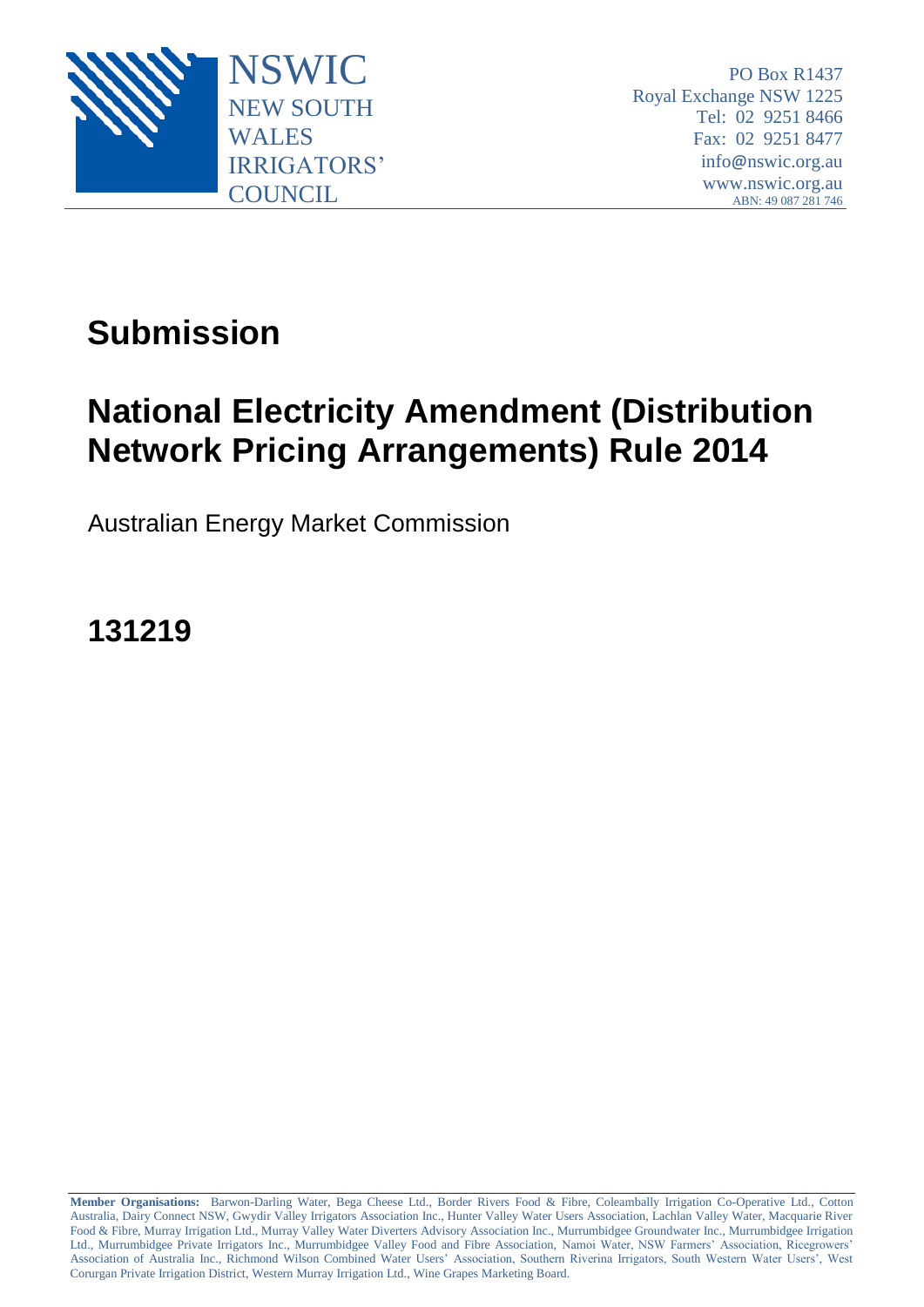

PO Box R1437 Royal Exchange NSW 1225 Tel: 02 9251 8466 Fax: 02 9251 8477 info@nswic.org.au www.nswic.org.au ABN: 49 087 281 746

# **Submission**

# **National Electricity Amendment (Distribution Network Pricing Arrangements) Rule 2014**

Australian Energy Market Commission

**131219**

**Member Organisations:** Barwon-Darling Water, Bega Cheese Ltd., Border Rivers Food & Fibre, Coleambally Irrigation Co-Operative Ltd., Cotton Australia, Dairy Connect NSW, Gwydir Valley Irrigators Association Inc., Hunter Valley Water Users Association, Lachlan Valley Water, Macquarie River Food & Fibre, Murray Irrigation Ltd., Murray Valley Water Diverters Advisory Association Inc., Murrumbidgee Groundwater Inc., Murrumbidgee Irrigation Ltd., Murrumbidgee Private Irrigators Inc., Murrumbidgee Valley Food and Fibre Association, Namoi Water, NSW Farmers' Association, Ricegrowers' Association of Australia Inc., Richmond Wilson Combined Water Users' Association, Southern Riverina Irrigators, South Western Water Users', West Corurgan Private Irrigation District, Western Murray Irrigation Ltd., Wine Grapes Marketing Board.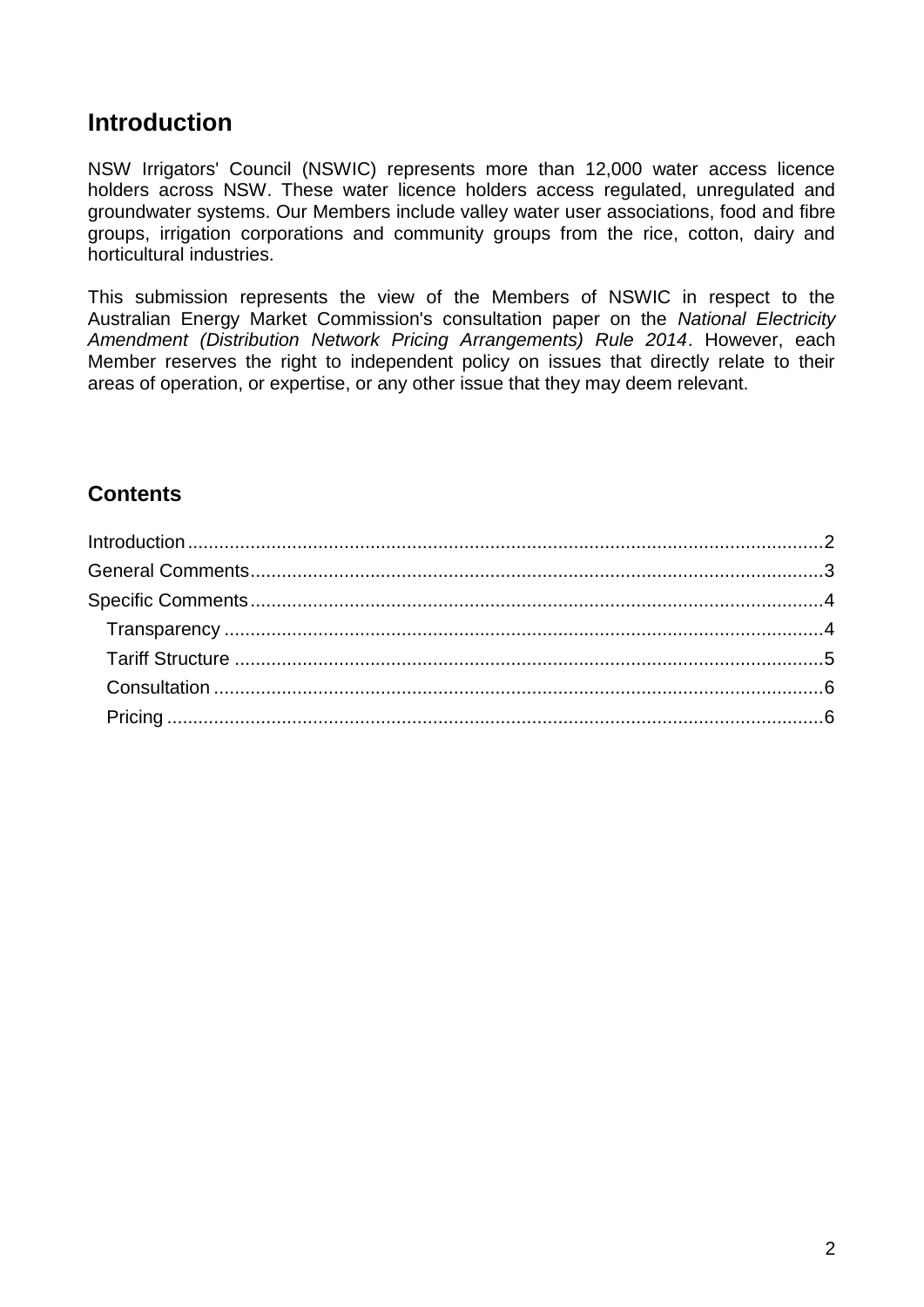## <span id="page-1-0"></span>**Introduction**

NSW Irrigators' Council (NSWIC) represents more than 12,000 water access licence holders across NSW. These water licence holders access regulated, unregulated and groundwater systems. Our Members include valley water user associations, food and fibre groups, irrigation corporations and community groups from the rice, cotton, dairy and horticultural industries.

This submission represents the view of the Members of NSWIC in respect to the Australian Energy Market Commission's consultation paper on the *National Electricity Amendment (Distribution Network Pricing Arrangements) Rule 2014*. However, each Member reserves the right to independent policy on issues that directly relate to their areas of operation, or expertise, or any other issue that they may deem relevant.

## **Contents**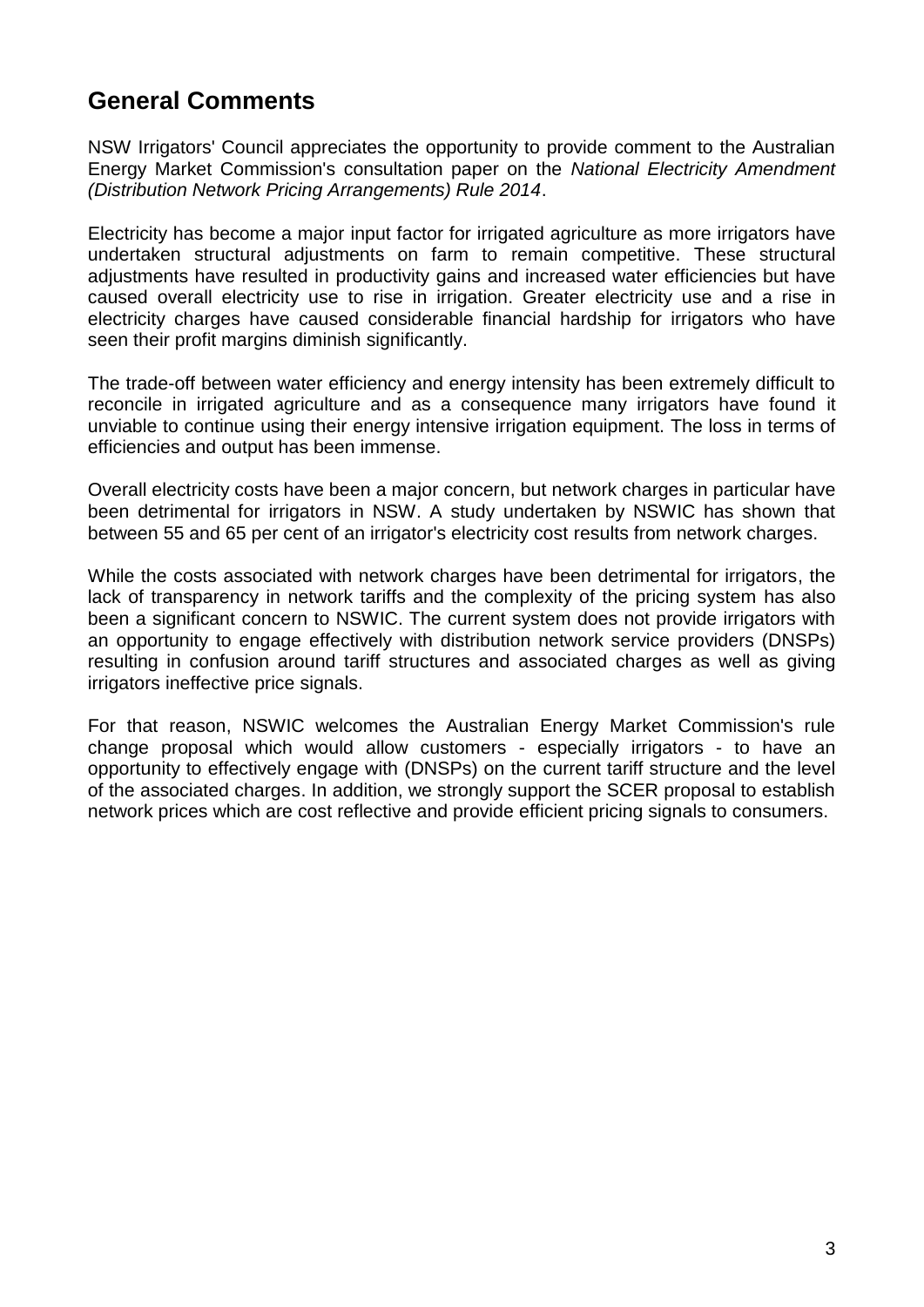# <span id="page-2-0"></span>**General Comments**

NSW Irrigators' Council appreciates the opportunity to provide comment to the Australian Energy Market Commission's consultation paper on the *National Electricity Amendment (Distribution Network Pricing Arrangements) Rule 2014*.

Electricity has become a major input factor for irrigated agriculture as more irrigators have undertaken structural adjustments on farm to remain competitive. These structural adjustments have resulted in productivity gains and increased water efficiencies but have caused overall electricity use to rise in irrigation. Greater electricity use and a rise in electricity charges have caused considerable financial hardship for irrigators who have seen their profit margins diminish significantly.

The trade-off between water efficiency and energy intensity has been extremely difficult to reconcile in irrigated agriculture and as a consequence many irrigators have found it unviable to continue using their energy intensive irrigation equipment. The loss in terms of efficiencies and output has been immense.

Overall electricity costs have been a major concern, but network charges in particular have been detrimental for irrigators in NSW. A study undertaken by NSWIC has shown that between 55 and 65 per cent of an irrigator's electricity cost results from network charges.

While the costs associated with network charges have been detrimental for irrigators, the lack of transparency in network tariffs and the complexity of the pricing system has also been a significant concern to NSWIC. The current system does not provide irrigators with an opportunity to engage effectively with distribution network service providers (DNSPs) resulting in confusion around tariff structures and associated charges as well as giving irrigators ineffective price signals.

For that reason, NSWIC welcomes the Australian Energy Market Commission's rule change proposal which would allow customers - especially irrigators - to have an opportunity to effectively engage with (DNSPs) on the current tariff structure and the level of the associated charges. In addition, we strongly support the SCER proposal to establish network prices which are cost reflective and provide efficient pricing signals to consumers.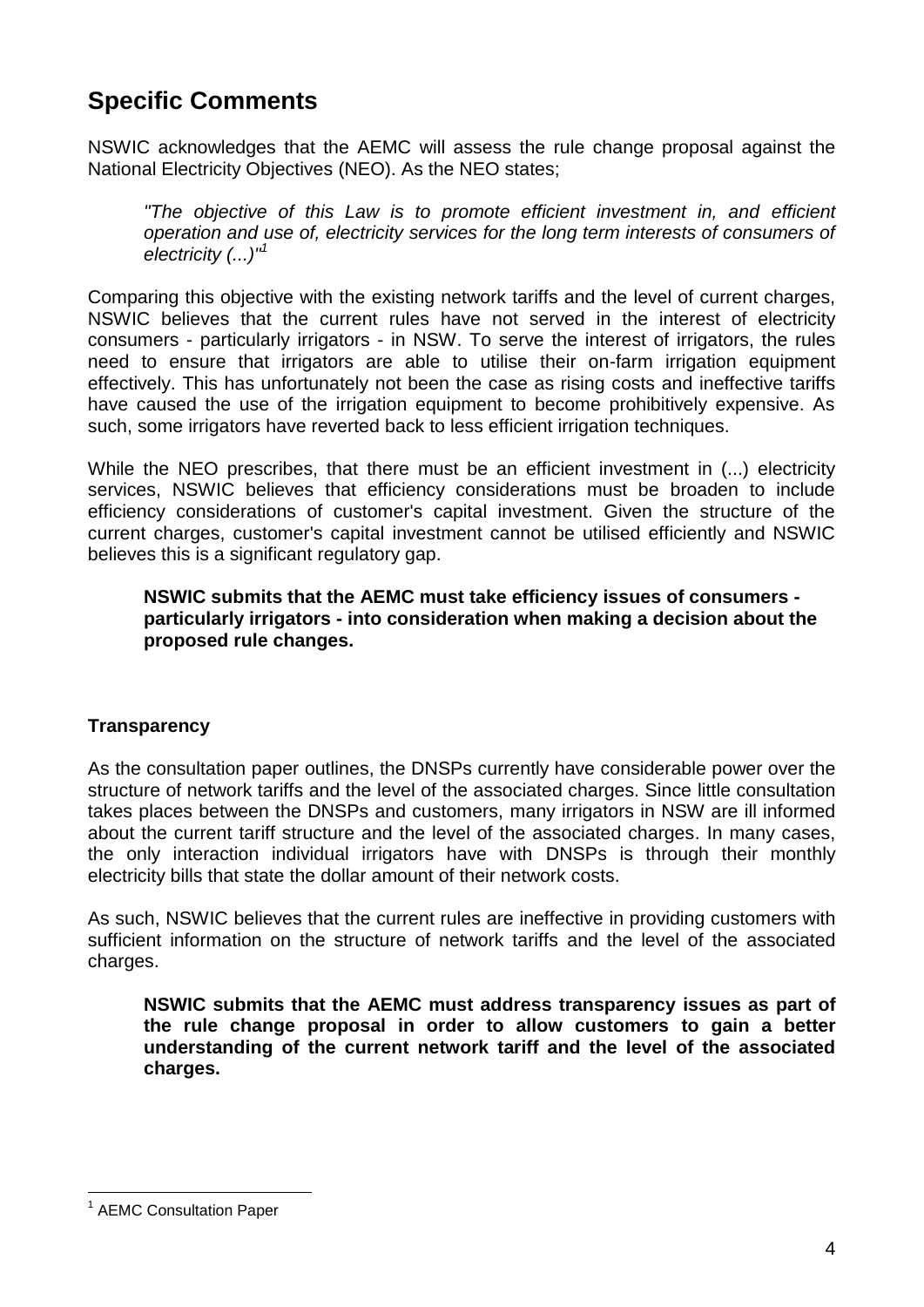# <span id="page-3-0"></span>**Specific Comments**

NSWIC acknowledges that the AEMC will assess the rule change proposal against the National Electricity Objectives (NEO). As the NEO states;

*"The objective of this Law is to promote efficient investment in, and efficient operation and use of, electricity services for the long term interests of consumers of electricity (...)"<sup>1</sup>*

Comparing this objective with the existing network tariffs and the level of current charges, NSWIC believes that the current rules have not served in the interest of electricity consumers - particularly irrigators - in NSW. To serve the interest of irrigators, the rules need to ensure that irrigators are able to utilise their on-farm irrigation equipment effectively. This has unfortunately not been the case as rising costs and ineffective tariffs have caused the use of the irrigation equipment to become prohibitively expensive. As such, some irrigators have reverted back to less efficient irrigation techniques.

While the NEO prescribes, that there must be an efficient investment in (...) electricity services, NSWIC believes that efficiency considerations must be broaden to include efficiency considerations of customer's capital investment. Given the structure of the current charges, customer's capital investment cannot be utilised efficiently and NSWIC believes this is a significant regulatory gap.

**NSWIC submits that the AEMC must take efficiency issues of consumers particularly irrigators - into consideration when making a decision about the proposed rule changes.** 

## <span id="page-3-1"></span>**Transparency**

As the consultation paper outlines, the DNSPs currently have considerable power over the structure of network tariffs and the level of the associated charges. Since little consultation takes places between the DNSPs and customers, many irrigators in NSW are ill informed about the current tariff structure and the level of the associated charges. In many cases, the only interaction individual irrigators have with DNSPs is through their monthly electricity bills that state the dollar amount of their network costs.

As such, NSWIC believes that the current rules are ineffective in providing customers with sufficient information on the structure of network tariffs and the level of the associated charges.

**NSWIC submits that the AEMC must address transparency issues as part of the rule change proposal in order to allow customers to gain a better understanding of the current network tariff and the level of the associated charges.**

 $\overline{a}$ <sup>1</sup> AEMC Consultation Paper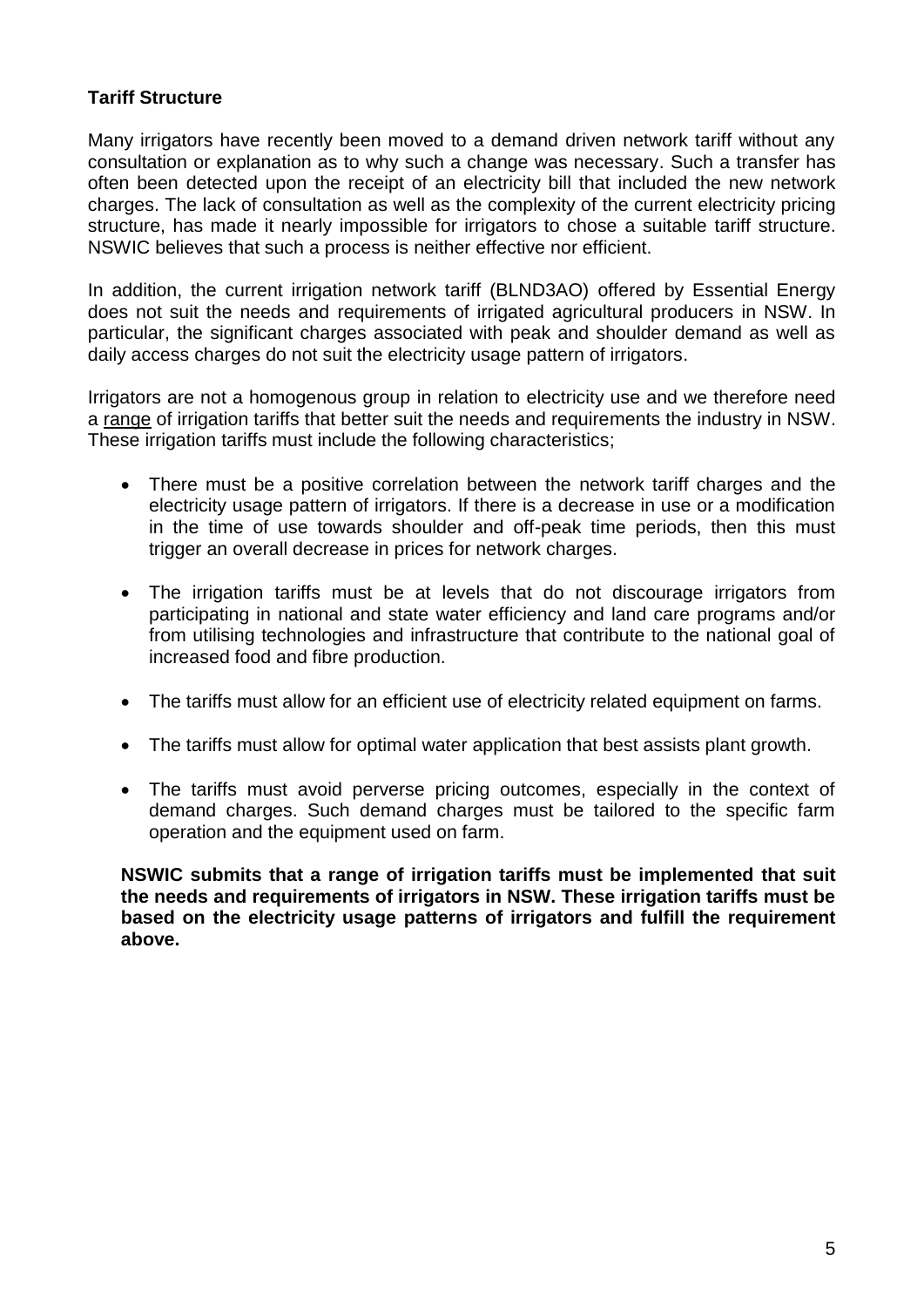### <span id="page-4-0"></span>**Tariff Structure**

Many irrigators have recently been moved to a demand driven network tariff without any consultation or explanation as to why such a change was necessary. Such a transfer has often been detected upon the receipt of an electricity bill that included the new network charges. The lack of consultation as well as the complexity of the current electricity pricing structure, has made it nearly impossible for irrigators to chose a suitable tariff structure. NSWIC believes that such a process is neither effective nor efficient.

In addition, the current irrigation network tariff (BLND3AO) offered by Essential Energy does not suit the needs and requirements of irrigated agricultural producers in NSW. In particular, the significant charges associated with peak and shoulder demand as well as daily access charges do not suit the electricity usage pattern of irrigators.

Irrigators are not a homogenous group in relation to electricity use and we therefore need a range of irrigation tariffs that better suit the needs and requirements the industry in NSW. These irrigation tariffs must include the following characteristics;

- There must be a positive correlation between the network tariff charges and the electricity usage pattern of irrigators. If there is a decrease in use or a modification in the time of use towards shoulder and off-peak time periods, then this must trigger an overall decrease in prices for network charges.
- The irrigation tariffs must be at levels that do not discourage irrigators from participating in national and state water efficiency and land care programs and/or from utilising technologies and infrastructure that contribute to the national goal of increased food and fibre production.
- The tariffs must allow for an efficient use of electricity related equipment on farms.
- The tariffs must allow for optimal water application that best assists plant growth.
- The tariffs must avoid perverse pricing outcomes, especially in the context of demand charges. Such demand charges must be tailored to the specific farm operation and the equipment used on farm.

**NSWIC submits that a range of irrigation tariffs must be implemented that suit the needs and requirements of irrigators in NSW. These irrigation tariffs must be based on the electricity usage patterns of irrigators and fulfill the requirement above.**